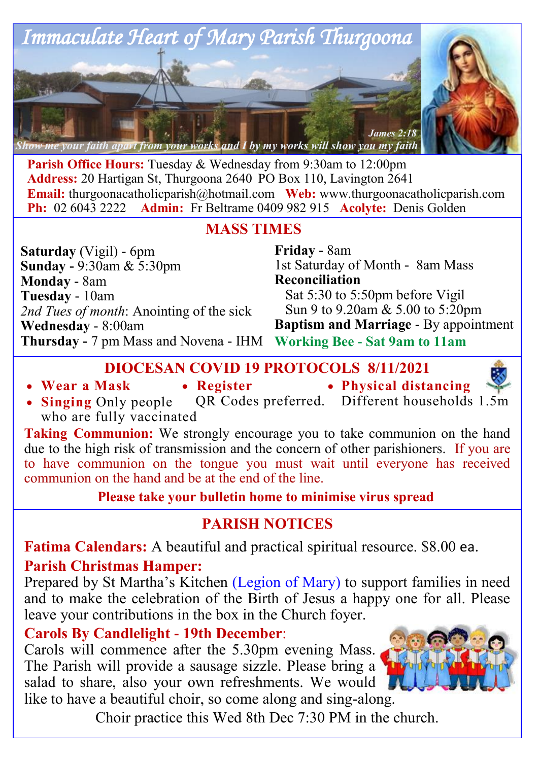

**Parish Office Hours:** Tuesday & Wednesday from 9:30am to 12:00pm **Address:** 20 Hartigan St, Thurgoona 2640 PO Box 110, Lavington 2641 **Email:** thurgoonacatholicparish@hotmail.com **Web:** www.thurgoonacatholicparish.com **Ph:** 02 6043 2222 **Admin:** Fr Beltrame 0409 982 915 **Acolyte:** Denis Golden

## **MASS TIMES**

**Saturday** (Vigil) - 6pm **Sunday -** 9:30am & 5:30pm **Monday -** 8am **Tuesday** - 10am *2nd Tues of month*: Anointing of the sick **Wednesday** - 8:00am **Thursday -** 7 pm Mass and Novena - IHM

**Friday -** 8am 1st Saturday of Month - 8am Mass **Reconciliation**  Sat 5:30 to 5:50pm before Vigil Sun 9 to 9.20am & 5.00 to 5:20pm **Baptism and Marriage -** By appointment **Working Bee - Sat 9am to 11am**

### **DIOCESAN COVID 19 PROTOCOLS 8/11/2021**

- **Wear a Mask**
- **Register**
- **Physical distancing**



**Taking Communion:** We strongly encourage you to take communion on the hand due to the high risk of transmission and the concern of other parishioners. If you are to have communion on the tongue you must wait until everyone has received communion on the hand and be at the end of the line.

**Please take your bulletin home to minimise virus spread** 

## **PARISH NOTICES**

**Fatima Calendars:** A beautiful and practical spiritual resource. \$8.00 ea.

## **Parish Christmas Hamper:**

Prepared by St Martha's Kitchen (Legion of Mary) to support families in need and to make the celebration of the Birth of Jesus a happy one for all. Please leave your contributions in the box in the Church foyer.

## **Carols By Candlelight - 19th December**:

Carols will commence after the 5.30pm evening Mass. The Parish will provide a sausage sizzle. Please bring a salad to share, also your own refreshments. We would like to have a beautiful choir, so come along and sing-along.



Choir practice this Wed 8th Dec 7:30 PM in the church.

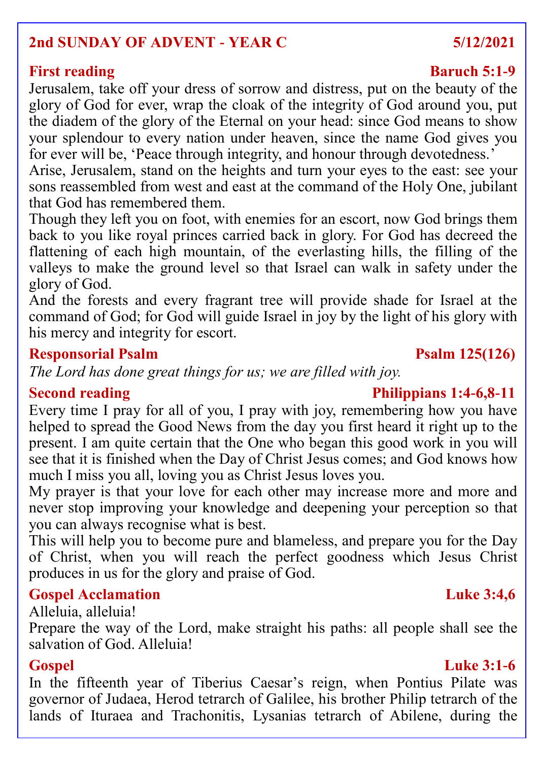## **2nd SUNDAY OF ADVENT - YEAR C 5/12/2021**

Jerusalem, take off your dress of sorrow and distress, put on the beauty of the glory of God for ever, wrap the cloak of the integrity of God around you, put the diadem of the glory of the Eternal on your head: since God means to show your splendour to every nation under heaven, since the name God gives you for ever will be, 'Peace through integrity, and honour through devotedness.'

Arise, Jerusalem, stand on the heights and turn your eyes to the east: see your sons reassembled from west and east at the command of the Holy One, jubilant that God has remembered them.

Though they left you on foot, with enemies for an escort, now God brings them back to you like royal princes carried back in glory. For God has decreed the flattening of each high mountain, of the everlasting hills, the filling of the valleys to make the ground level so that Israel can walk in safety under the glory of God.

And the forests and every fragrant tree will provide shade for Israel at the command of God; for God will guide Israel in joy by the light of his glory with his mercy and integrity for escort.

## **Responsorial Psalm Psalm Psalm Psalm** 125(126)

*The Lord has done great things for us; we are filled with joy.*

Every time I pray for all of you, I pray with joy, remembering how you have helped to spread the Good News from the day you first heard it right up to the present. I am quite certain that the One who began this good work in you will see that it is finished when the Day of Christ Jesus comes; and God knows how much I miss you all, loving you as Christ Jesus loves you.

My prayer is that your love for each other may increase more and more and never stop improving your knowledge and deepening your perception so that you can always recognise what is best.

This will help you to become pure and blameless, and prepare you for the Day of Christ, when you will reach the perfect goodness which Jesus Christ produces in us for the glory and praise of God.

## **Gospel Acclamation Luke 3:4.6**

Alleluia, alleluia!

Prepare the way of the Lord, make straight his paths: all people shall see the salvation of God. Alleluia!

## **Gospel Luke 3:1-6**

In the fifteenth year of Tiberius Caesar's reign, when Pontius Pilate was governor of Judaea, Herod tetrarch of Galilee, his brother Philip tetrarch of the lands of Ituraea and Trachonitis, Lysanias tetrarch of Abilene, during the

## **Second reading Philippians 1:4-6,8-11**

## **First reading Baruch 5:1-9**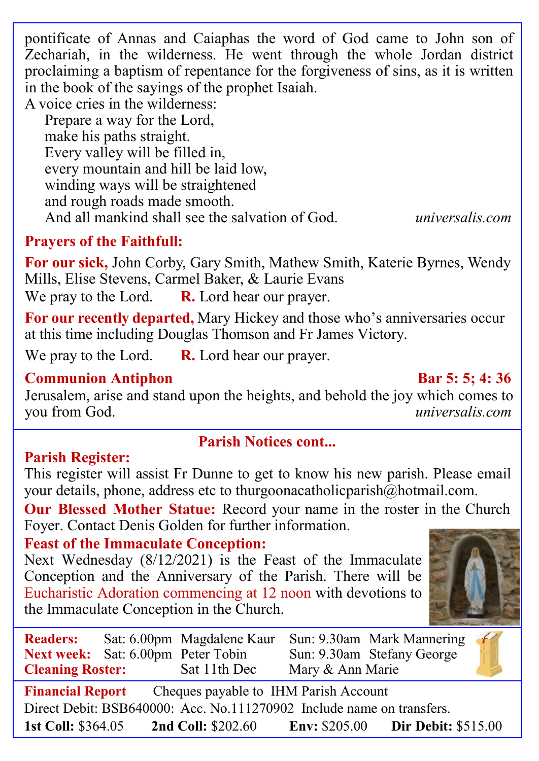pontificate of Annas and Caiaphas the word of God came to John son of Zechariah, in the wilderness. He went through the whole Jordan district proclaiming a baptism of repentance for the forgiveness of sins, as it is written in the book of the sayings of the prophet Isaiah.

A voice cries in the wilderness:

Prepare a way for the Lord, make his paths straight. Every valley will be filled in, every mountain and hill be laid low, winding ways will be straightened and rough roads made smooth. And all mankind shall see the salvation of God. *universalis.com*

## **Prayers of the Faithfull:**

**For our sick,** John Corby, Gary Smith, Mathew Smith, Katerie Byrnes, Wendy Mills, Elise Stevens, Carmel Baker, & Laurie Evans We pray to the Lord. **R.** Lord hear our prayer.

**For our recently departed,** Mary Hickey and those who's anniversaries occur at this time including Douglas Thomson and Fr James Victory.

We pray to the Lord. **R.** Lord hear our prayer.

## **Communion Antiphon Bar 5: 5; 4: 36**

Jerusalem, arise and stand upon the heights, and behold the joy which comes to you from God. *universalis.com*

## **Parish Notices cont...**

## **Parish Register:**

This register will assist Fr Dunne to get to know his new parish. Please email your details, phone, address etc to thurgoonacatholicparish@hotmail.com.

**Our Blessed Mother Statue:** Record your name in the roster in the Church Foyer. Contact Denis Golden for further information.

## **Feast of the Immaculate Conception:**

Next Wednesday (8/12/2021) is the Feast of the Immaculate Conception and the Anniversary of the Parish. There will be Eucharistic Adoration commencing at 12 noon with devotions to the Immaculate Conception in the Church.



**Readers:** Sat: 6.00pm Magdalene Kaur Sun: 9.30am Mark Mannering **Next week:** Sat: 6.00pm Peter Tobin Sun: 9.30am Stefany George **Cleaning Roster:** Sat 11th Dec Mary & Ann Marie

**Financial Report** Cheques payable to IHM Parish Account Direct Debit: BSB640000: Acc. No. 111270902. Include name on transfers. **1st Coll:** \$364.05 **2nd Coll:** \$202.60 **Env:** \$205.00 **Dir Debit:** \$515.00